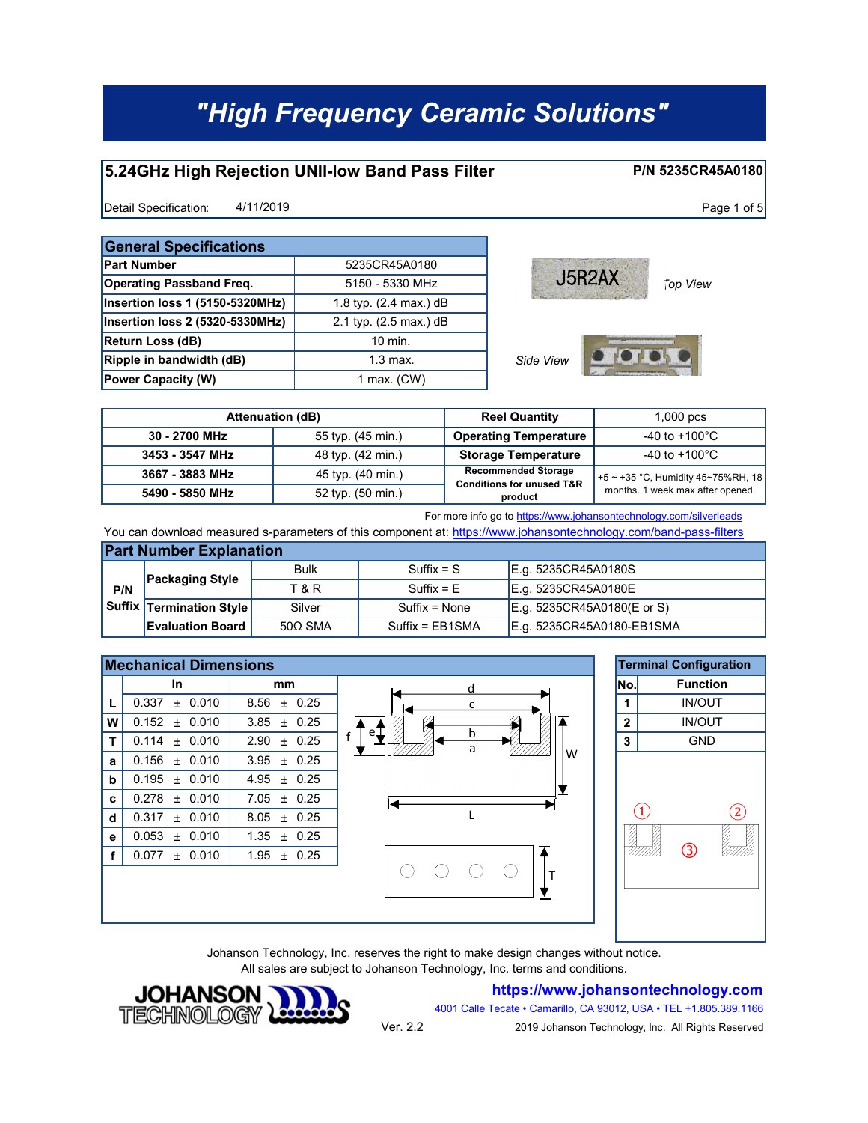#### **5.24GHz High Rejection UNII-low Band Pass Filter**

Detail Specification:  $4/11/2019$  Page 1 of 5 4/11/2019

| <b>General Specifications</b>   |                                  |  |  |  |
|---------------------------------|----------------------------------|--|--|--|
| <b>Part Number</b>              | 5235CR45A0180                    |  |  |  |
| <b>Operating Passband Freq.</b> | 5150 - 5330 MHz                  |  |  |  |
| Insertion loss 1 (5150-5320MHz) | 1.8 typ. $(2.4 \text{ max.})$ dB |  |  |  |
| Insertion loss 2 (5320-5330MHz) | 2.1 typ. (2.5 max.) dB           |  |  |  |
| <b>Return Loss (dB)</b>         | $10$ min.                        |  |  |  |
| Ripple in bandwidth (dB)        | $1.3 \text{ max}$ .              |  |  |  |
| <b>Power Capacity (W)</b>       | 1 max. $(CW)$                    |  |  |  |



**P/N 5235CR45A0180**

|                 | <b>Attenuation (dB)</b> | <b>Reel Quantity</b>                                               | $1,000$ pcs                          |
|-----------------|-------------------------|--------------------------------------------------------------------|--------------------------------------|
| 30 - 2700 MHz   | 55 typ. (45 min.)       | <b>Operating Temperature</b>                                       | $-40$ to $+100^{\circ}$ C            |
| 3453 - 3547 MHz | 48 typ. (42 min.)       | <b>Storage Temperature</b>                                         | -40 to +100 $^{\circ}$ C             |
| 3667 - 3883 MHz | 45 typ. (40 min.)       | <b>Recommended Storage</b><br><b>Conditions for unused T&amp;R</b> | $+5$ ~ +35 °C, Humidity 45~75%RH, 18 |
| 5490 - 5850 MHz | 52 typ. (50 min.)       | product                                                            | months. 1 week max after opened.     |

#### For more info go to https://www.johansontechnology.com/silverleads

You can download measured s-parameters of this component at: https://www.johansontechnology.com/band-pass-filters

| <b>Part Number Explanation</b> |                          |                |                 |                            |  |  |
|--------------------------------|--------------------------|----------------|-----------------|----------------------------|--|--|
|                                | <b>Packaging Style</b>   | <b>Bulk</b>    | $Suffix = S$    | E.g. 5235CR45A0180S        |  |  |
| P/N                            |                          | T & R          | $Suffix = E$    | E.g. 5235CR45A0180E        |  |  |
|                                | Suffix Termination Style | Silver         | Suffix = None   | E.g. 5235CR45A0180(E or S) |  |  |
|                                | <b>Evaluation Board</b>  | $50\Omega$ SMA | Suffix = EB1SMA | E.g. 5235CR45A0180-EB1SMA  |  |  |



Johanson Technology, Inc. reserves the right to make design changes without notice. All sales are subject to Johanson Technology, Inc. terms and conditions.

Ver. 2.2

#### **https://www.johansontechnology.com**

4001 Calle Tecate • Camarillo, CA 93012, USA • TEL +1.805.389.1166



2019 Johanson Technology, Inc. All Rights Reserved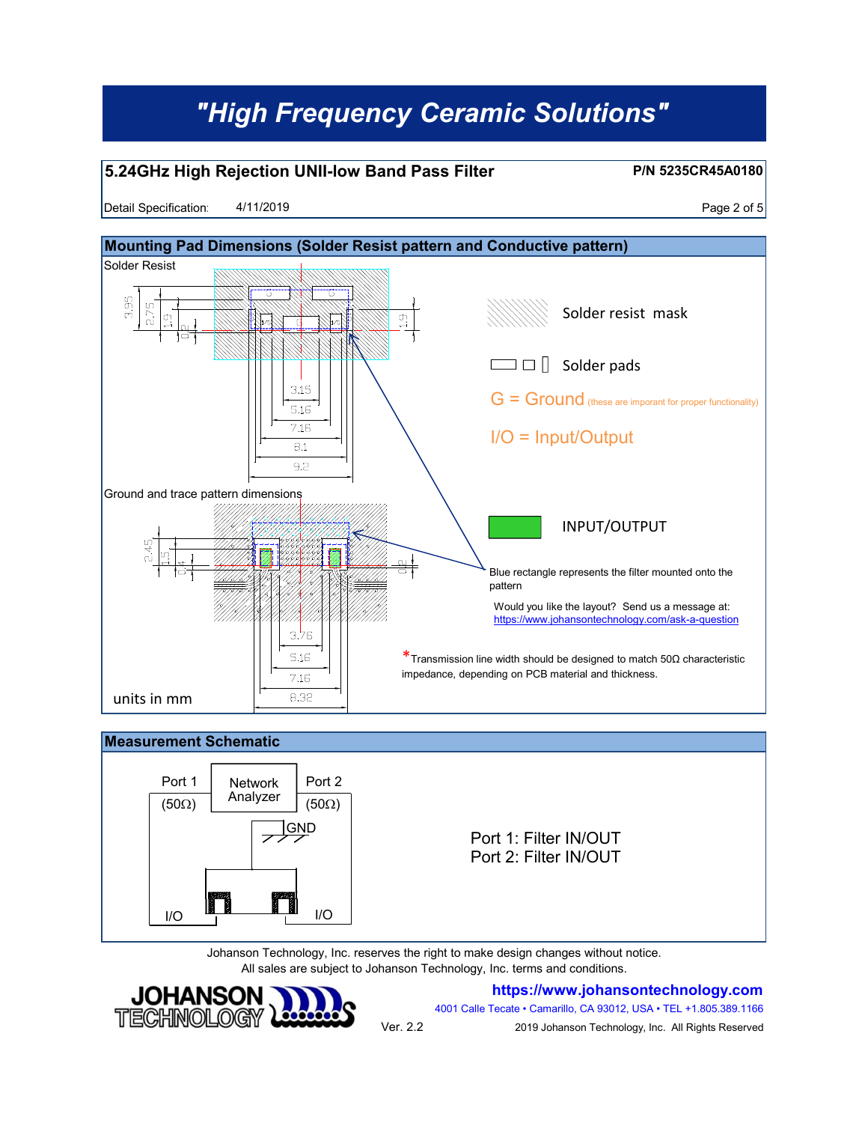### **5.24GHz High Rejection UNII-low Band Pass Filter**

**P/N 5235CR45A0180**

Detail Specification:  $4/11/2019$  Page 2 of 5 4/11/2019



### **Measurement Schematic** Port 1 | Network | Port 2 Analyzer  $(50\Omega)$  | Analyzer |  $(50\Omega)$ **GND**

Port 1: Filter IN/OUT Port 2: Filter IN/OUT

Johanson Technology, Inc. reserves the right to make design changes without notice. All sales are subject to Johanson Technology, Inc. terms and conditions.



I/O I<del>III III II</del>I I/O

**https://www.johansontechnology.com**

4001 Calle Tecate • Camarillo, CA 93012, USA • TEL +1.805.389.1166

Ver. 2.2

2019 Johanson Technology, Inc. All Rights Reserved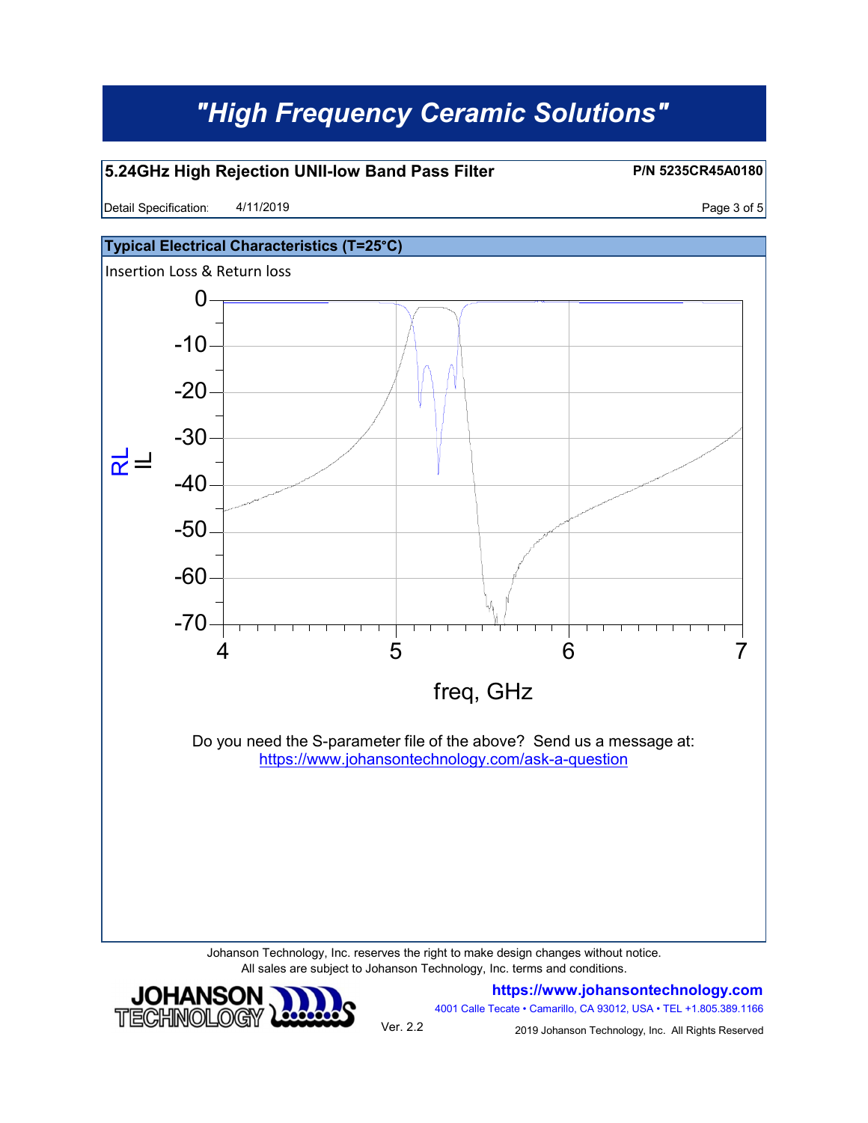#### **5.24GHz High Rejection UNII-low Band Pass Filter**

Detail Specification:  $4/11/2019$  Page 3 of 5 4/11/2019

**JOHANSON** TECHNOLOGY

**P/N 5235CR45A0180**



Johanson Technology, Inc. reserves the right to make design changes without notice. All sales are subject to Johanson Technology, Inc. terms and conditions.



4001 Calle Tecate • Camarillo, CA 93012, USA • TEL +1.805.389.1166

Ver. 2.2

2019 Johanson Technology, Inc. All Rights Reserved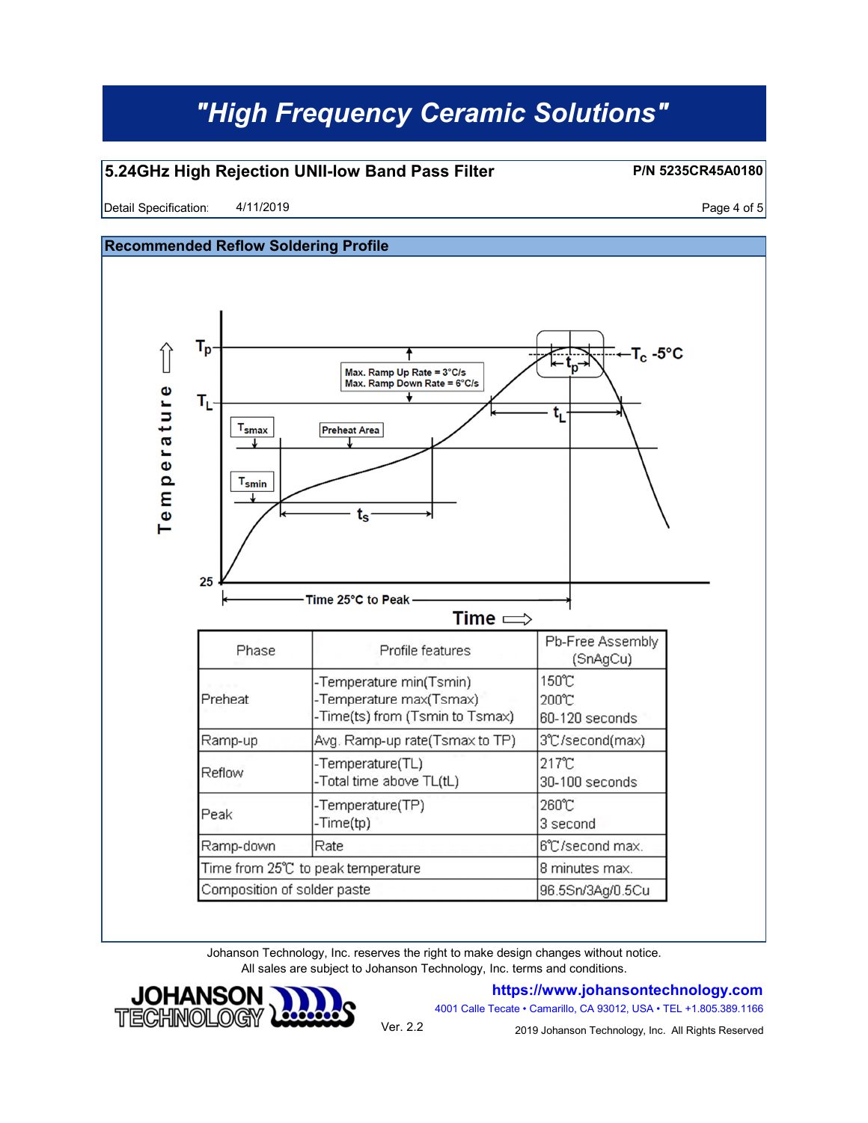### **5.24GHz High Rejection UNII-low Band Pass Filter**

Detail Specification:  $4/11/2019$ 4/11/2019

**P/N 5235CR45A0180**

**Recommended Reflow Soldering Profile**  $T_p$ ∬  $-T_c - 5$ °C Max. Ramp Up Rate = 3°C/s<br>Max. Ramp Down Rate = 6°C/s Temperature  $T_{L}$ t,  $T_{\rm smax}$ **Preheat Area**  $T_{\sf{smin}}$ ts 25 Time 25°C to Peak Time  $\Longrightarrow$ Pb-Free Assembly Profile features Phase (SnAgCu) 150℃ Temperature min(Tsmin) Preheat -Temperature max(Tsmax) 200°C Time(ts) from (Tsmin to Tsmax) 60-120 seconds Ramp-up Avg. Ramp-up rate(Tsmax to TP) 3°C/second(max) 217°C Temperature(TL) Reflow -Total time above TL(tL) 30-100 seconds -Temperature(TP) 260℃ Peak -Time(tp) 3 second Ramp-down Rate 6°C/second max. Time from 25°C to peak temperature 8 minutes max. Composition of solder paste 96.5Sn/3Ag/0.5Cu

> Johanson Technology, Inc. reserves the right to make design changes without notice. All sales are subject to Johanson Technology, Inc. terms and conditions.



**https://www.johansontechnology.com**

4001 Calle Tecate • Camarillo, CA 93012, USA • TEL +1.805.389.1166